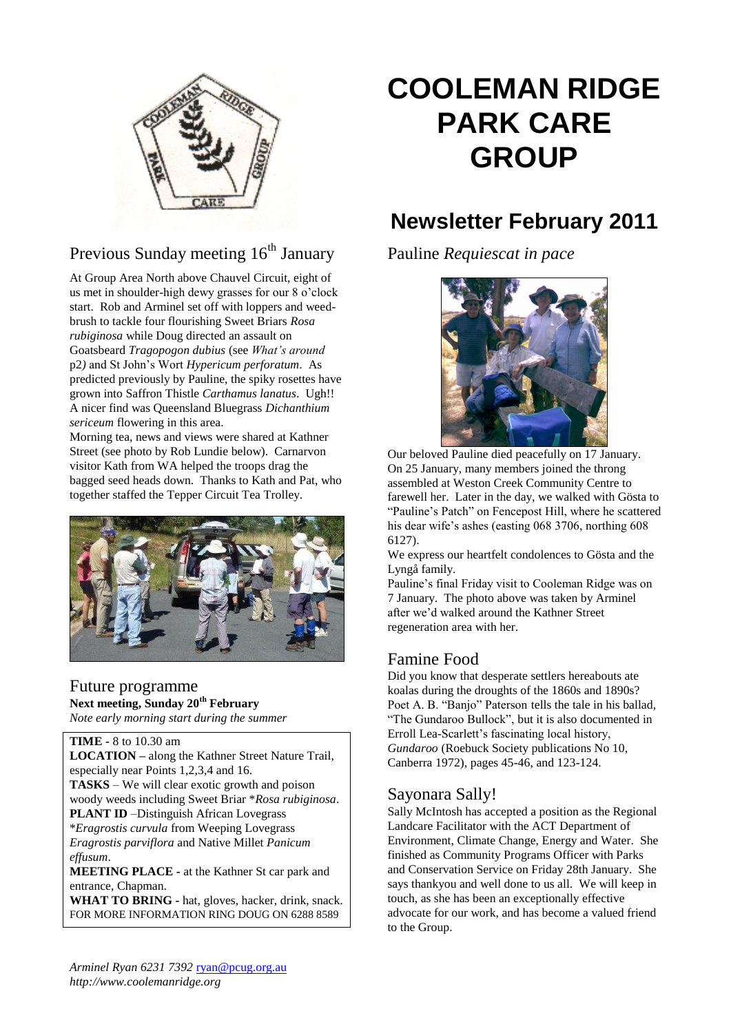

# Previous Sunday meeting  $16<sup>th</sup>$  January

At Group Area North above Chauvel Circuit, eight of us met in shoulder-high dewy grasses for our 8 o'clock start. Rob and Arminel set off with loppers and weedbrush to tackle four flourishing Sweet Briars *Rosa rubiginosa* while Doug directed an assault on Goatsbeard *Tragopogon dubius* (see *What's around*  p2*)* and St John's Wort *Hypericum perforatum*. As predicted previously by Pauline, the spiky rosettes have grown into Saffron Thistle *Carthamus lanatus*. Ugh!! A nicer find was Queensland Bluegrass *Dichanthium sericeum* flowering in this area.

Morning tea, news and views were shared at Kathner Street (see photo by Rob Lundie below). Carnarvon visitor Kath from WA helped the troops drag the bagged seed heads down. Thanks to Kath and Pat, who together staffed the Tepper Circuit Tea Trolley.



#### Future programme **Next meeting, Sunday 20th February** *Note early morning start during the summer*

**TIME -** 8 to 10.30 am **LOCATION –** along the Kathner Street Nature Trail, especially near Points 1,2,3,4 and 16. **TASKS** – We will clear exotic growth and poison woody weeds including Sweet Briar \**Rosa rubiginosa*. **PLANT ID** –Distinguish African Lovegrass \**Eragrostis curvula* from Weeping Lovegrass

*Eragrostis parviflora* and Native Millet *Panicum effusum*.

**MEETING PLACE -** at the Kathner St car park and entrance, Chapman.

WHAT TO BRING - hat, gloves, hacker, drink, snack. FOR MORE INFORMATION RING DOUG ON 6288 8589

# **COOLEMAN RIDGE PARK CARE GROUP**

# **Newsletter February 2011**

Pauline *Requiescat in pace*



Our beloved Pauline died peacefully on 17 January. On 25 January, many members joined the throng assembled at Weston Creek Community Centre to farewell her. Later in the day, we walked with Gösta to "Pauline's Patch" on Fencepost Hill, where he scattered his dear wife's ashes (easting 068 3706, northing 608 6127).

We express our heartfelt condolences to Gösta and the Lyngå family.

Pauline's final Friday visit to Cooleman Ridge was on 7 January. The photo above was taken by Arminel after we'd walked around the Kathner Street regeneration area with her.

## Famine Food

Did you know that desperate settlers hereabouts ate koalas during the droughts of the 1860s and 1890s? Poet A. B. "Banjo" Paterson tells the tale in his ballad, "The Gundaroo Bullock", but it is also documented in Erroll Lea-Scarlett's fascinating local history, *Gundaroo* (Roebuck Society publications No 10, Canberra 1972), pages 45-46, and 123-124.

### Sayonara Sally!

Sally McIntosh has accepted a position as the Regional Landcare Facilitator with the ACT Department of Environment, Climate Change, Energy and Water. She finished as Community Programs Officer with Parks and Conservation Service on Friday 28th January. She says thankyou and well done to us all. We will keep in touch, as she has been an exceptionally effective advocate for our work, and has become a valued friend to the Group.